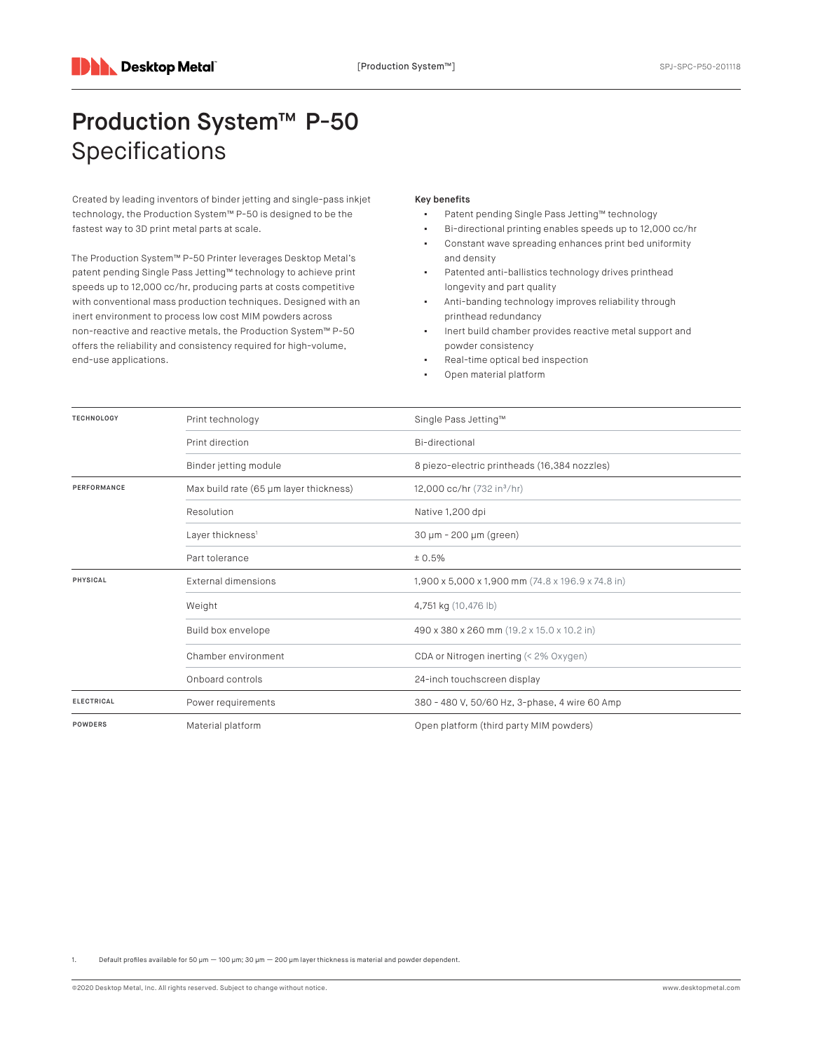## Production System™ P-50 Specifications

Created by leading inventors of binder jetting and single-pass inkjet technology, the Production System™ P-50 is designed to be the fastest way to 3D print metal parts at scale.

The Production System™ P-50 Printer leverages Desktop Metal's patent pending Single Pass Jetting™ technology to achieve print speeds up to 12,000 cc/hr, producing parts at costs competitive with conventional mass production techniques. Designed with an inert environment to process low cost MIM powders across non-reactive and reactive metals, the Production System™ P-50 offers the reliability and consistency required for high-volume, end-use applications.

## Key benefits

- Patent pending Single Pass Jetting™ technology
- Bi-directional printing enables speeds up to 12,000 cc/hr ▪ Constant wave spreading enhances print bed uniformity
- and density Patented anti-ballistics technology drives printhead longevity and part quality
- Anti-banding technology improves reliability through printhead redundancy
- Inert build chamber provides reactive metal support and powder consistency
- Real-time optical bed inspection
- Open material platform

| <b>TECHNOLOGY</b> | Print technology                       | Single Pass Jetting™                              |
|-------------------|----------------------------------------|---------------------------------------------------|
|                   | Print direction                        | Bi-directional                                    |
|                   | Binder jetting module                  | 8 piezo-electric printheads (16,384 nozzles)      |
| PERFORMANCE       | Max build rate (65 µm layer thickness) | 12,000 cc/hr (732 in <sup>3</sup> /hr)            |
|                   | Resolution                             | Native 1,200 dpi                                  |
|                   | Layer thickness <sup>1</sup>           | 30 µm - 200 µm (green)                            |
|                   | Part tolerance                         | ± 0.5%                                            |
| PHYSICAL          | External dimensions                    | 1,900 x 5,000 x 1,900 mm (74.8 x 196.9 x 74.8 in) |
|                   | Weight                                 | 4,751 kg (10,476 lb)                              |
|                   | Build box envelope                     | 490 x 380 x 260 mm (19.2 x 15.0 x 10.2 in)        |
|                   | Chamber environment                    | CDA or Nitrogen inerting (< 2% Oxygen)            |
|                   | Onboard controls                       | 24-inch touchscreen display                       |
| <b>ELECTRICAL</b> | Power requirements                     | 380 - 480 V, 50/60 Hz, 3-phase, 4 wire 60 Amp     |
| <b>POWDERS</b>    | Material platform                      | Open platform (third party MIM powders)           |

Default profiles available for 50 μm  $-$  100 μm; 30 μm  $-$  200 μm layer thickness is material and powder dependent.